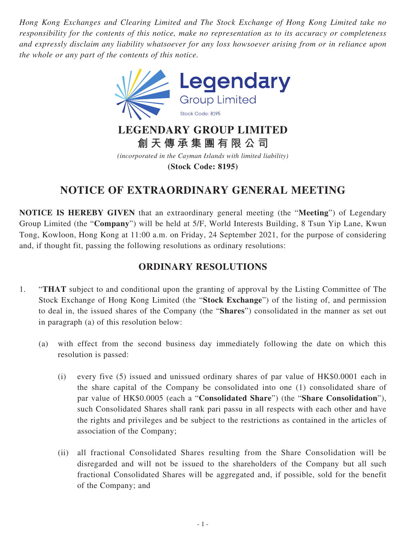*Hong Kong Exchanges and Clearing Limited and The Stock Exchange of Hong Kong Limited take no responsibility for the contents of this notice, make no representation as to its accuracy or completeness and expressly disclaim any liability whatsoever for any loss howsoever arising from or in reliance upon the whole or any part of the contents of this notice.*



**創天傳承集團有限公司**

*(incorporated in the Cayman Islands with limited liability)*

**(Stock Code: 8195)**

## **NOTICE OF EXTRAORDINARY GENERAL MEETING**

**NOTICE IS HEREBY GIVEN** that an extraordinary general meeting (the "**Meeting**") of Legendary Group Limited (the "**Company**") will be held at 5/F, World Interests Building, 8 Tsun Yip Lane, Kwun Tong, Kowloon, Hong Kong at 11:00 a.m. on Friday, 24 September 2021, for the purpose of considering and, if thought fit, passing the following resolutions as ordinary resolutions:

## **ORDINARY RESOLUTIONS**

- 1. "**THAT** subject to and conditional upon the granting of approval by the Listing Committee of The Stock Exchange of Hong Kong Limited (the "**Stock Exchange**") of the listing of, and permission to deal in, the issued shares of the Company (the "**Shares**") consolidated in the manner as set out in paragraph (a) of this resolution below:
	- (a) with effect from the second business day immediately following the date on which this resolution is passed:
		- (i) every five (5) issued and unissued ordinary shares of par value of HK\$0.0001 each in the share capital of the Company be consolidated into one (1) consolidated share of par value of HK\$0.0005 (each a "**Consolidated Share**") (the "**Share Consolidation**"), such Consolidated Shares shall rank pari passu in all respects with each other and have the rights and privileges and be subject to the restrictions as contained in the articles of association of the Company;
		- (ii) all fractional Consolidated Shares resulting from the Share Consolidation will be disregarded and will not be issued to the shareholders of the Company but all such fractional Consolidated Shares will be aggregated and, if possible, sold for the benefit of the Company; and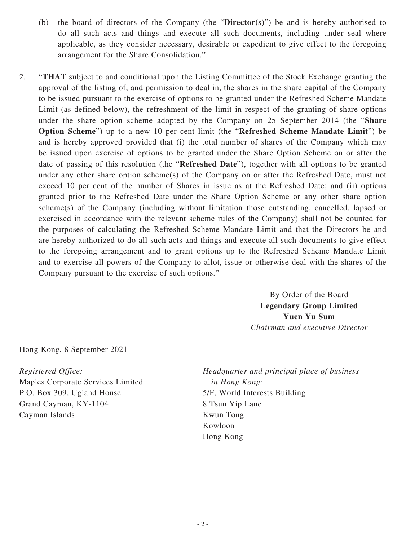- (b) the board of directors of the Company (the "**Director(s)**") be and is hereby authorised to do all such acts and things and execute all such documents, including under seal where applicable, as they consider necessary, desirable or expedient to give effect to the foregoing arrangement for the Share Consolidation."
- 2. "**THAT** subject to and conditional upon the Listing Committee of the Stock Exchange granting the approval of the listing of, and permission to deal in, the shares in the share capital of the Company to be issued pursuant to the exercise of options to be granted under the Refreshed Scheme Mandate Limit (as defined below), the refreshment of the limit in respect of the granting of share options under the share option scheme adopted by the Company on 25 September 2014 (the "**Share Option Scheme**") up to a new 10 per cent limit (the "**Refreshed Scheme Mandate Limit**") be and is hereby approved provided that (i) the total number of shares of the Company which may be issued upon exercise of options to be granted under the Share Option Scheme on or after the date of passing of this resolution (the "**Refreshed Date**"), together with all options to be granted under any other share option scheme(s) of the Company on or after the Refreshed Date, must not exceed 10 per cent of the number of Shares in issue as at the Refreshed Date; and (ii) options granted prior to the Refreshed Date under the Share Option Scheme or any other share option scheme(s) of the Company (including without limitation those outstanding, cancelled, lapsed or exercised in accordance with the relevant scheme rules of the Company) shall not be counted for the purposes of calculating the Refreshed Scheme Mandate Limit and that the Directors be and are hereby authorized to do all such acts and things and execute all such documents to give effect to the foregoing arrangement and to grant options up to the Refreshed Scheme Mandate Limit and to exercise all powers of the Company to allot, issue or otherwise deal with the shares of the Company pursuant to the exercise of such options."

By Order of the Board **Legendary Group Limited Yuen Yu Sum** *Chairman and executive Director*

Hong Kong, 8 September 2021

*Registered Office:* Maples Corporate Services Limited P.O. Box 309, Ugland House Grand Cayman, KY-1104 Cayman Islands

*Headquarter and principal place of business in Hong Kong:* 5/F, World Interests Building 8 Tsun Yip Lane Kwun Tong Kowloon Hong Kong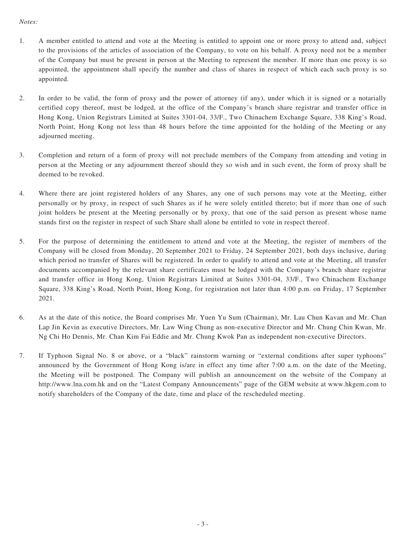## *Notes:*

- 1. A member entitled to attend and vote at the Meeting is entitled to appoint one or more proxy to attend and, subject to the provisions of the articles of association of the Company, to vote on his behalf. A proxy need not be a member of the Company but must be present in person at the Meeting to represent the member. If more than one proxy is so appointed, the appointment shall specify the number and class of shares in respect of which each such proxy is so appointed.
- 2. In order to be valid, the form of proxy and the power of attorney (if any), under which it is signed or a notarially certified copy thereof, must be lodged, at the office of the Company's branch share registrar and transfer office in Hong Kong, Union Registrars Limited at Suites 3301-04, 33/F., Two Chinachem Exchange Square, 338 King's Road, North Point, Hong Kong not less than 48 hours before the time appointed for the holding of the Meeting or any adjourned meeting.
- 3. Completion and return of a form of proxy will not preclude members of the Company from attending and voting in person at the Meeting or any adjournment thereof should they so wish and in such event, the form of proxy shall be deemed to be revoked.
- 4. Where there are joint registered holders of any Shares, any one of such persons may vote at the Meeting, either personally or by proxy, in respect of such Shares as if he were solely entitled thereto; but if more than one of such joint holders be present at the Meeting personally or by proxy, that one of the said person as present whose name stands first on the register in respect of such Share shall alone be entitled to vote in respect thereof.
- 5. For the purpose of determining the entitlement to attend and vote at the Meeting, the register of members of the Company will be closed from Monday, 20 September 2021 to Friday, 24 September 2021, both days inclusive, during which period no transfer of Shares will be registered. In order to qualify to attend and vote at the Meeting, all transfer documents accompanied by the relevant share certificates must be lodged with the Company's branch share registrar and transfer office in Hong Kong, Union Registrars Limited at Suites 3301-04, 33/F., Two Chinachem Exchange Square, 338 King's Road, North Point, Hong Kong, for registration not later than 4:00 p.m. on Friday, 17 September 2021.
- 6. As at the date of this notice, the Board comprises Mr. Yuen Yu Sum (Chairman), Mr. Lau Chun Kavan and Mr. Chan Lap Jin Kevin as executive Directors, Mr. Law Wing Chung as non-executive Director and Mr. Chung Chin Kwan, Mr. Ng Chi Ho Dennis, Mr. Chan Kim Fai Eddie and Mr. Chung Kwok Pan as independent non-executive Directors.
- 7. If Typhoon Signal No. 8 or above, or a "black" rainstorm warning or "external conditions after super typhoons" announced by the Government of Hong Kong is/are in effect any time after 7:00 a.m. on the date of the Meeting, the Meeting will be postponed. The Company will publish an announcement on the website of the Company at http://www.lna.com.hk and on the "Latest Company Announcements" page of the GEM website at www.hkgem.com to notify shareholders of the Company of the date, time and place of the rescheduled meeting.